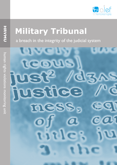

# **Military Tribunal**

a breach in the integrity of the judicial system

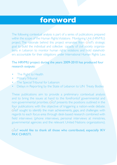# **foreword**

The following contextual analysis is part of a series of publications prepared within the scope of the Human Rights Violations Monitoring Unit (HRVMU) project. The rationale behind this project emanates from  $\alpha$ <sup>[er]</sup>s strategic tions in Lebanon to monitor human rights violations and hold stakehold-<br>ers accountable for their obligations under International Human Rights Law. goal to build the individual and collective capacity of civil society organiza-<br>tions in Lebanon to monitor human rights violations and hold stakeholdgoal to build the individual and collective capacity of civil society organiza-

### The HRVMU project during the years 2009-2010 has produced four research outputs:

- The Right to Health
- Military Tribunal
- The Special Tribunal for Lebanon
- Delays in Reporting by the State of Lebanon to UN Treaty Bodies

These publications aim to provide a preliminary contextual analysis and to bring the issues at hand to the forefrontof governmental and non-governmental priorities,  $q$  of  $\epsilon$  presents the positions outlined in the four publications with the objective of triggering a nation-wide debate.  $\alpha$ lef sought to identify the main achievements, gaps, and challenges with regards to each focus-area through desk-based research combined with field interviews (phone interviews, personal interviews at ministries, governmental agencies and the relevant United Nations organizations).

clef would like to thank all those who contributed, especially IKV PAX CHRISTI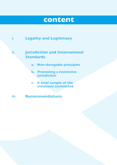# **content**



#### **.ii Jurisdiction and International Standards**

- **a.** Non-derogable principles
- **b.** Promoting a restrictive **jurisdiction**
- **c.** A brief sample of the **committed violations**

**.iii Recommendations**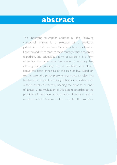## **abstract**

The underlying assumption adopted by the following contextual analysis is a rejection of a particular judicial form that has been for a long time practiced in Lebanon, and which tends to make military justice a separate, expedient, and expeditious form of justice. It is a form of justice that is outside the scope of ordinary law, allowing for a ludiciary that is sanctified and placed above the basic principles of the rule of law. Based on several cases, the paper presents arguments to reject the tendency that makes the military judiciary a separate system without checks or, thereby opening the door to all kinds of abuses. A normalization of this system according to the principles of the proper administration of justice is recom-<br>mended so that it becomes a form of justice like any other.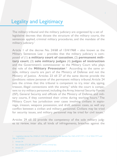### Legality and Legitimacy

The military tribunal and the military judiciary are organized by a set of legislative decrees that dictate the structure of the military courts, the sentences applied, criminal military procedures, and the mandate of the military judiciary.<sup>1</sup>

Article 1 of the decree No. 24/68 of  $13/4/1968 -$  also known as the  $$ posed of (1) a military court of cassation, (2) permanent mili-Military Sentences Law – provides that the military judiciary is comand the Government's commissioner to the Military Court who plays the role of the **Military Prosecutor**.<sup>2</sup> According to the same ar ticle, military courts are part of the Ministry of Defense and not the Ministry of Justice. Articles 23 till 27 of the same decree provide the conditions ratione personae of the permanent military tribunal. Article 24 sets the crimes that this tribunal is competent to try, inter alia, spying, treason, illegal connections with the enemy, $^3$  while the court is compe tent to try military personnel, including the Army, Internal Security Forces (ISF), General Security and officials of the Ministry of Defense and mili-<br>tary courts, if they committed their crime during working hours.<sup>4</sup> The (ISF), General Security and officials of the Ministry of Defense and milinage, treason, weapons possession, and draft evasion cases, as well any Military Court has jurisdiction over cases involving civilians in espioconflict between a civilian and military personnel. Civilians may be tried for security issues, and military personnel may be tried for civil issues.<sup>5</sup>

es to review, inter alia, all kinds of infringements, breaches against the Articles 29 till 32 provide the competency of the sole military judg-

2 Article 34

4 Article 27

<sup>1</sup> Legislative decree No. 24/68 of 13/4/1968 amended by the decrees No. 1460 of 8/7/1971; 110 of 30/6/1977; and 306 of 3/4/2001.

<sup>3</sup> See articles 273, 287, 290 and 291 of the criminal law.

<sup>5</sup> See articles 273 till 294 of the criminal law and article 50 of the military sentences law.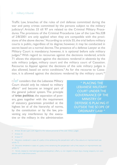#### 2 military tribunal

Traffic Law, breaches of the rules of civil defense committed during the war and petty crimes committed by the persons subject to the military judiciary<sup>s</sup>. Articles 33 till 97 are related to the Criminal Military Proce dures. The provisions of the Criminal Procedures Law of the Law No.328 of 2/8/2001 are only applied when they are compatible with the provisions of the above decree.<sup>7</sup> According to article 55, the trial before military of 2/8/2001 are only applied when they are compatible with the provicourts is public, regardless of its degree; however, it may be conducted in secret based on a normal decree. The presence of a defense Lawyer at the Military Court is mandatory; however, it is optional before sole military judges.<sup>8</sup> With regard to recourses against the decisions rendered, article 71 allows the objection against the decisions rendered in abstentia by the sole military judges, military court and the military court of Cassation. Recourse to Appeal against the decisions of the sole military judges is also allowed, based on strict conditions.<sup>9</sup> As for the recourse to Cassa tion, it is allowed against the decisions rendered by the military court.<sup>10</sup>

 $O|C$  considers that the Lebanese Military Court should only be related to military affairs<sup>11</sup> and become an integral part of the general judicial system. The principle ers, goes together with the requirement of *trias politica*, the separation of powof statutory guarantees provided at the highest lev el of the hierarchy of norms, tive or the military in the administration venting any interference by the execuby the constitution or by the law, pre-

" PLACING THE LEBANESE MILITARY **COURT UNDER THE GOVERNANCE OF THE MINISTRY OF DEFENSE IS PLACING IT OUTSIDE THE SCOPE OF ORDINARY LAW "** 

11 - Strictly related to internal/organizational/disciplinary affairs, i.e. non respect of leave days, missing weapons, non com-<br>pliance with orders/instructions

<sup>6</sup> Article 30; see supra with regard to the ratione personae of the sole military judges

<sup>7</sup> Article 33

<sup>8</sup> Article 57

<sup>9</sup> Decisions rendered in cases of a petty crime sentencing the perpetrator with a fine, seizure, or imprisonment: see article 72

<sup>10</sup> Decisions rendered in cases of a petty crime sentencing the perpetrator with a fine, seizure, or imprisonment; see article 72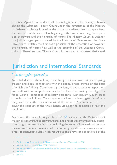of justice. Apart from the doctrinal issue of legitimacy of the military tribunals, placing the Lebanese Military Court under the governance of the Ministry of Defense is placing it outside the scope of ordinary law and apart from tion of powers and the hierarchy of norms. The Military Court in Lebanon the principles of the rule of law, beginning with those concerning the separautive, which violates the first basic principle of the separation of powers,  $12$ is a judicial organ, yet mandated by the Ministry of Defense and the Exectution.<sup>14</sup> Therefore, the Military Court in Lebanon is **unconstitutional**. the hierarchy of norms,<sup>13</sup> as well as the preamble of the Lebanese Consti-

### Jurisdiction and International Standards

### *Non-derogable-principles*

As detailed above, the military court has jurisdiction over crimes of spying. treason and illegal connections with the enemy Those crimes, on the basis of which the Military Court can try civilians,<sup>15</sup> have a security aspect and are dealt with in complete secrecy by the Executive, mainly the High De-<br>fense Council composed of military personnel. Consequently, such cases tially, and the authorities often wield the issue of "national security" to brought to the Military Court against civilians are investigated confidencover the conduct of the trials, hence violating the principles of fair and public trial.

Apart from the issue of trying civilians,<sup>16</sup>  $\Omega$  of believes that the Military Court itarian law. This is a provision of minimum guarantees, necessary even in hized as guarantees of a fair trial, including the rules of international humanmust in all circumstances apply standards and procedures internationally recogtimes of crisis, particularly with regards to the provisions of article 4 of the

<sup>12</sup> Charles-Louis de Secondat, Baron de Montesquieu: La défense de «L'Esprit des Lois» 1750

**Procedures** Civil Procedures Civil Procedures

*powers of the Lebanese Constitution, (e): The System is based on the principle of separation of powers* 

<sup>15</sup> See Supra 5

<sup>16</sup> See infra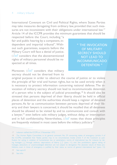#### 4 military tribunal

International Covenant on Civil and Political Rights, where States Parties sures are not inconsistent with their obligations under international law.<sup>17</sup> may take measures derogating from ordinary law, provided that such mea-Article 14 of the ICCPR provides the minimum guarantees that should be

respected before the Court, including "a out such guarantees, suspects before the dependent and impartial tribunal". Withfair and public hearing by a competent, in-Military Court will face a denial of justice.  $Q\acute{\parallel}e\acute{\parallel}$  considers that the abovementioned rights of military personnel should be re-<br>spected at all times.

" THE INVOCATION **OF MILITARY SECRECY SHOULD NOT LEAD TO INCOMMUNICADO** DETENTION "

Moreover,  $O|E|$  considers that military secrecy should not be diverted from its

original purpose in order to obstruct the course of justice or to violate the principle of fair trial and human rights, but to be used strictly when it vocation of military secrecy should not lead to incommunicado detentionis necessary to protect information concerning national defense. The inof a person who is the subject of judicial proceedings.<sup>18</sup> It should also be stressed that persons deprived of their liberty should be held in official places of detention and the authorities should keep a register of detained erty and their lawyers is concerned, it should be recalled that all detainees persons. As far as communication between persons deprived of their libshould be allowed to be visited by and to communicate and consult with a lawyer,<sup>19</sup> even before sole military judges, without delay, or interception and in full confidentiality. Nevertheless,  $\Omega[\mathcal{E}]$  notes that those principles are frequently violated in most cases before the military judiciary.<sup>20</sup>

20 See infra

<sup>17</sup> Lebanon ratified the ICCPR on 3 November 1972

<sup>18</sup> The Human Rights Committee, in its general comment No. 29 concerning states of emergency (article 4 of ing hostages [...], through arbitrary deprivations of liberty [...]" (para. II), and "the prohibitions against taking of fication for acting in violation of humanitarian law or peremptory norms of international law, for instance by takthe ICCPR), considered that "States parties may in no circumstances invoke article 4 of the Covenant as justihibitions, even in times of emergency, is justified by their status as norms of general international law" (para. 13), hostages, abductions or unacknowledged detention are not subject to derogation. The absolute nature of these pro-

<sup>19</sup> See supra 8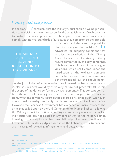#### *Promoting a restrictive jurisdiction*

tion to try civilians, since the reason for the establishment of such courts is In addition,  $O[ef$  considers that the Military Court should have no jurisdicto enable exceptional procedures to be applied. These procedures do not comply with normal standards of justice, as they compromise the principle

" THE MILITARY **COURT SHOULD HAVE NO JURISDICTION TO** TRY CIVILIANS "

ties of challenging the decision.<sup>21</sup>  $\Omega$ of fair trial and decrease the possibiliadvocates for adopting conditions that restrict the jurisdiction of the Military Court to offenses of a strictly military nature committed by military personnel. This is to the exclusion of human rights violations, which shall come under the jurisdiction of the ordinary domestic der international law, this should be uncourts. In the case of serious crimes un-

der the jurisdiction of an international or internationalized criminal court. insofar as such acts would by their very nature not practically fall within tions, when the territorial court cannot exercise its jurisdiction. Only such tutes the nexus of military justice, particularly with regards to field operathe scope of the duties performed by such persons.<sup>22</sup> This concept constia functional necessity can justify the limited existence of military justice. However, the Lebanese Government has exceeded on many instances the principles called upon by the UN Commission on Human Rights,<sup>23</sup> allowing the Military Court to continue adopting a non-military task and try civilian individuals who are not related in any sort of way to the military sector, ficers and sole military judges based in all the Lebanese departments and knowing that among its members are civil judges, lieutenants, military ofare in charge of reviewing infringements and petty crimes.

<sup>21</sup> See supra 10

<sup>22</sup> Even though in times of war, the Government is obliged to respect the provisions of IHL, namely the Geneva .conventions

tion of Human Rights, Emmanuel Decaux adopted by the Commission on Human Rights in its 62 session. 23 See the report of the Special Rapporteur of the Sub-Commission on the Promotion and Protec-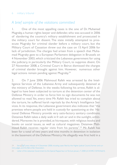### A brief sample of the violations committed

1. One of the most appalling cases is the one of Dr. Muhamad Mugraby, a human rights lawyer and defender, who was accused in 2006 of slandering the country's military establishment and prosecuted in ecute Mugraby for criminal slander before a military court, but the the military court for dissent. The state initially attempted to pros-Military Court of Cassation threw out the case on 15 April 2006 for mad Mugraby gave to a European Parliament delegation in Brussels on lack of jurisdiction. The charges had arisen from a speech that Muha-4 November 2003, which criticized the Lebanese government for using the judiciary, in particularly the Military Court, to suppress disent. On 27 November 2008, a Criminal Court in Beirut dismissed the charges of criminal slander brought against him. However, numerous other legal actions remain pending against Mugraby.<sup>24</sup>

2. On 7 June 2006 Mahmoud Rafeh was arrested by the Intelligence Services of the Lebanese Army and subsequently detained at On 7 June 2006 Mahmoud Rafeh was arrested by the Intelleged to have been subjected to torture at the detention center of the the ministry of Defense. In the weeks following his arrest, Rafeh is al-Defense Ministry in order to force him to sign documents he was not allowed to read. Yet, every time Mr. Rafeh has tried to complain about vices. In its response, the Lebanese government also indicates that "the the torture, he suffered harsh reprisals by the Army's Intelligence Sertional Defense Ministry provide very satis-factory sanitary conditions. premises where people are held in custody for questioning at the Nadered. Moreover, he is provided, at his request, with religious books and Detainee Rafeh takes a daily walk in fr esh air and in the sunlight, unhinmoud Rafeh receives regular visits from his parents".<sup>25</sup> Mr. Rafeh has books on social issues, as well as cultural magazines. Detainee Mahbeen for a total of two years and nine months in detention in isolation in the basement of the Defense Ministry. He allegedly was first held in a

<sup>24 —</sup> See Q|&F press release of 4 December 2008, including cases filed by the Higher Judicial Council, former and cur-<br>rent judges, and the Beirut Bar Association.

<sup>25</sup> Letter of the Lebanese Government to the Special Rapporteur on Torture, January 7, 2008 (cf. A/HRC/10/44/Add.4).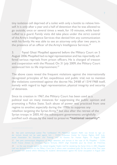self. It is only after a year and a half of detention that he was allowed to tiny isolation cell deprived of a toilet with only a bottle to relieve himcuffed to a guard. Family visits did take place under the strict control go outside, once or several times a week, for 10 minutes, while handof the Army's Intelligence Services that denied him any communication with his family. He was able to see an attorney only after two years, in the presence of an officer of the Army's Intelligence Services.<sup>26</sup>

3. Faysal Ghazi Mogalled appeared before the Military Court on 5 fered serious reprisals from prison officers. He is charged of treason August 2006. Mogalled had no legal representation and has reportedly sufand cooperation with the Mossad. On 31 July 2009, the Military Court sentenced him to life imprisonment.<sup>27</sup>

The above cases reveal the frequent violations against the internationally recognized principles of fair, expeditious and public trial; not to mention the violations committed against the decree No. 24/68 of 13/4/1968 itself, namely with regard to legal representation, physical integrity and security of detainees

Since its creation in 1967, the Military Court has been used as a political tool on many instances for suppressing the public opinion and promoting a Police State. Such abuse of power was practiced from one regime to another, especially during the 1990s to suppress any rebellion targeting the Syrian Army, $^{28}$  but also after the retreat of the Syrian troops in 2005. All the subsequent governments unrightfully justified such abuses by the need to preserve "national security".

anese Association for Education and Training) and Al Karama for Human Rights, 14 August 2009. der torture should not be used against him - CLDH (Lebanese Center for Human Rights), ALEF (Leb-26 See joint communiqué Justice: The "confessions" Mr. Mahmoud Qassem Rafeh was forced to sign un-27 See joint communiqué: Allegations of illegal detention and torture in the case of Mr. Mogalled – CLDH, ACAT France (Action by Christians Against Torture), AEDH (Agir Ensemble pour les Droits de l'Homme). 28 i.e. the case brought against the retired brigadier Nadim Lteif for slandering the Syrian Army in 2001. Brigadier Lteif was declared innocent by the Military Court, but 5 others were considered guilty for the same crime. They were all arrested with several others following the students' demonstration against the Syrian occupation in August 2001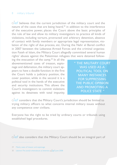#### 8 military tribunal

 $\tilde{\text{def}}$  believes that the current jurisdiction of the military court and the nature of the cases that are being heard, $29$  in addition to the interference of the executive power, places the Court above the basic principles of the rule of law and allow its military investigators to practice all kinds of violations, including torture, protracted and arbitrary detention, absence lation of the right of due process, etc. During the Nahr el Bared conflict of contact with family members or appropriate legal representation, viotion Fateh el Islam, the Military Court allegedly committed several human in 2007 between the Lebanese Armed Forces and the criminal organizarights' abuses against the Palestinian refugees that were detained follow-<br>ing the evacuation of the camp.<sup>30</sup> In all the

pears to have a double function: in the first nage and defamation, the military court apabovementioned cases of treason, espiothe Court holds a judiciary position, the cover position, while in the second it is a political tool in the hands of the executive and security institutions. This allows the Court's investigators to commit violations against its detainees with total impunity.

" THE MILITARY COURT **WAS USED AS A** POLITICAL TOOL ON **MANY INSTANCES FOR SUPPRESSING** THE PUBLIC OPINION **AND PROMOTING A** POLICE STATE "

 $\Omega$  olef considers that the Military Court's iurisdiction should be limited to trying military officers to what concerns internal military issues without any competence over civilians.

Everyone has the right to be tried by ordinary courts or tribunals using established legal procedures.

 $\bigcirc$  also considers that the Military Court should be an integral part of

29 Mainly cases of treason and espionage

2008 June 2008 June painful whereabouts of detention,  $\Delta$ Lebanon: The 2008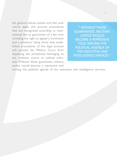the general judicial system and that such courts apply due process procedures national law as guarantees of a fair trial, that are recognized according to interincluding the right to appeal a conviction lished procedures of the legal process and a sentence. Using those duly estabwill prevent the Military Court from displacing the jurisdiction belonging to nals. Without those guarantees, military the ordinary courts or judicial tribujustice would become a repressive tool

" WITHOUT THOSE **GUARANTEES, MILITARY JUSTICE WOULD BECOME A REPRESSIVE** TOOL SERVING THE POLITICAL AGENDA OF THE EXECUTIVE AND **INTELLIGENCE SERVICES "** 

serving the political agenda of the executive and intelligence services.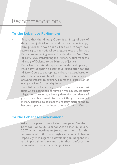# Recommendations

#### **To the Lebanese Parliament**

- Ensure that the Military Court is an integral part of the general judicial system and that such courts apply due process procedures that are recognized according to international law as guarantees of a fair trial. Pass a law amending article 1 of the decree No. 24/68 of 13/4/1968, transferring the Military Court from the Ministry of Defense to the Ministry of Justice.
- Pass a law to abolish the application of the death penalty. Pass a law adopting a restrictive jurisdiction for the Military Court to appropriate military matters, based on which the court will be allowed to try military officers only, and transfer to ordinary courts the jurisdiction of trying civilians for security issues.

Establish a parliamentary commission to review past trials where allegations of human rights abuses, especially allegations of torture, arbitrary detention and denial of justice, have been made to restrict the jurisdiction of military tribunals to appropriate military matters, and to become a party to the International Criminal Court.

#### **To the Lebanese Government**

Adopt the provisions of the European Neighborhood Policy, EU-Lebanon Action Plan in January 2007, which involves major commitments for the improvement of the human rights situation in Lebanon, especially with regard to developing an independent and impartial judiciary and to further reinforce the administrative capacity of the judiciary.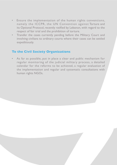- Ensure the implementation of the human rights conventions, namely the ICCPR, the UN Convention against Torture and its Optional Protocol, recently ratified by Lebanon, with regard to the respect of fair trial and the prohibition of torture.
- Transfer the cases currently pending before the Military Court and involving civilians to ordinary courts where their cases can be settled expeditiously.

### **To the Civil Society Organizations**

As far as possible, put in place a clear and public mechanism for regular monitoring of the judicial military process, a detailed calendar for the reforms to be achieved, a regular evaluation of the implementation and regular and systematic consultations with human rights NGOs.